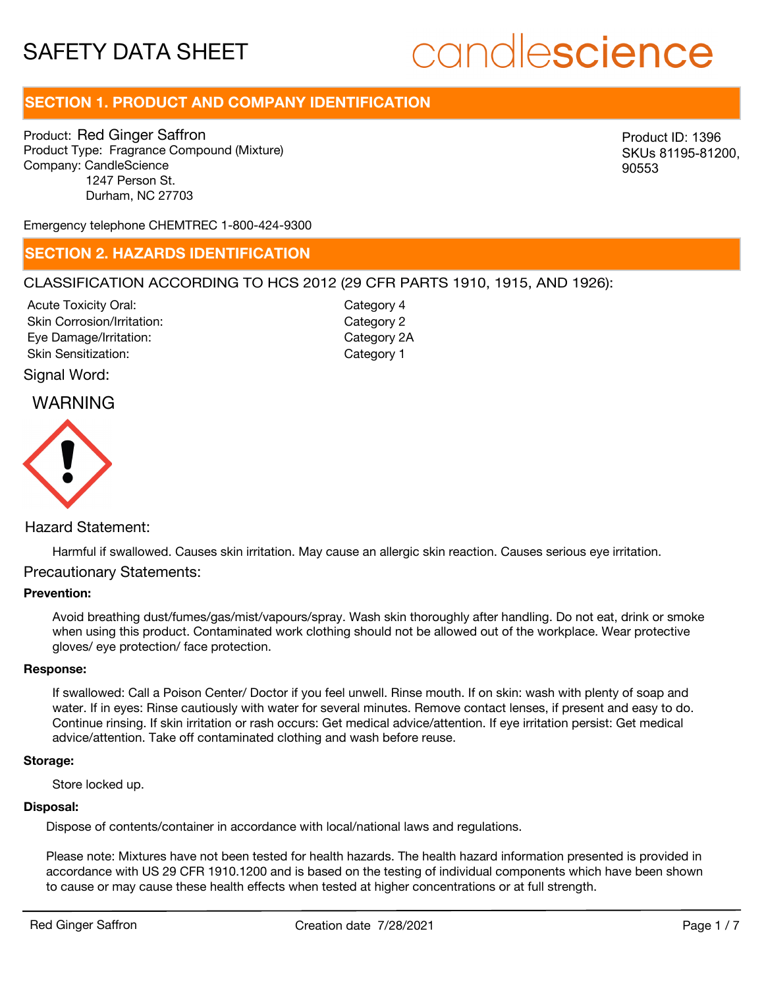# candlescience

# **SECTION 1. PRODUCT AND COMPANY IDENTIFICATION**

Product: Red Ginger Saffron Product Type: Fragrance Compound (Mixture) Company: CandleScience 1247 Person St. Durham, NC 27703

Product ID: 1396 SKUs 81195-81200, 90553

Emergency telephone CHEMTREC 1-800-424-9300

# **SECTION 2. HAZARDS IDENTIFICATION**

# CLASSIFICATION ACCORDING TO HCS 2012 (29 CFR PARTS 1910, 1915, AND 1926):

Acute Toxicity Oral: Skin Corrosion/Irritation: Eye Damage/Irritation: Skin Sensitization:

Category 4 Category 2 Category 2A Category 1

Signal Word:

# WARNING



# Hazard Statement:

Harmful if swallowed. Causes skin irritation. May cause an allergic skin reaction. Causes serious eye irritation.

# Precautionary Statements:

## **Prevention:**

Avoid breathing dust/fumes/gas/mist/vapours/spray. Wash skin thoroughly after handling. Do not eat, drink or smoke when using this product. Contaminated work clothing should not be allowed out of the workplace. Wear protective gloves/ eye protection/ face protection.

## **Response:**

If swallowed: Call a Poison Center/ Doctor if you feel unwell. Rinse mouth. If on skin: wash with plenty of soap and water. If in eyes: Rinse cautiously with water for several minutes. Remove contact lenses, if present and easy to do. Continue rinsing. If skin irritation or rash occurs: Get medical advice/attention. If eye irritation persist: Get medical advice/attention. Take off contaminated clothing and wash before reuse.

#### **Storage:**

Store locked up.

#### **Disposal:**

Dispose of contents/container in accordance with local/national laws and regulations.

Please note: Mixtures have not been tested for health hazards. The health hazard information presented is provided in accordance with US 29 CFR 1910.1200 and is based on the testing of individual components which have been shown to cause or may cause these health effects when tested at higher concentrations or at full strength.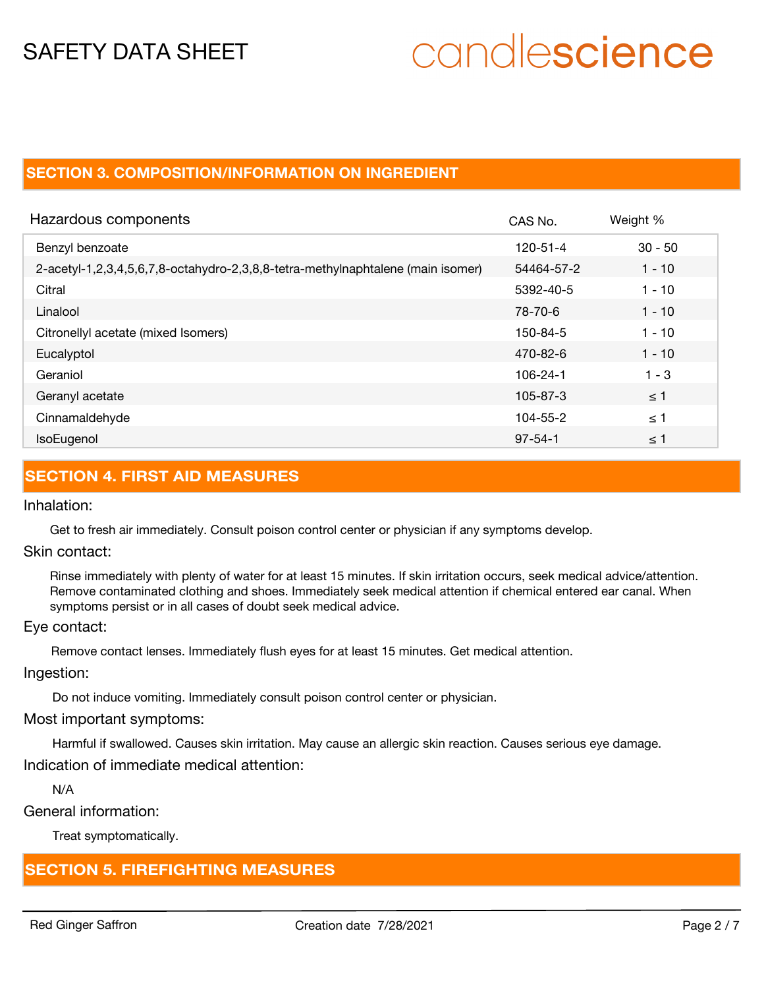# candlescience

# **SECTION 3. COMPOSITION/INFORMATION ON INGREDIENT**

| Hazardous components                                                            | CAS No.        | Weight %  |
|---------------------------------------------------------------------------------|----------------|-----------|
| Benzyl benzoate                                                                 | $120 - 51 - 4$ | $30 - 50$ |
| 2-acetyl-1,2,3,4,5,6,7,8-octahydro-2,3,8,8-tetra-methylnaphtalene (main isomer) | 54464-57-2     | $1 - 10$  |
| Citral                                                                          | 5392-40-5      | $1 - 10$  |
| Linalool                                                                        | 78-70-6        | $1 - 10$  |
| Citronellyl acetate (mixed Isomers)                                             | 150-84-5       | $1 - 10$  |
| Eucalyptol                                                                      | 470-82-6       | $1 - 10$  |
| Geraniol                                                                        | 106-24-1       | $1 - 3$   |
| Geranyl acetate                                                                 | 105-87-3       | $\leq$ 1  |
| Cinnamaldehyde                                                                  | $104 - 55 - 2$ | $\leq$ 1  |
| <b>IsoEugenol</b>                                                               | $97 - 54 - 1$  | $\leq 1$  |

# **SECTION 4. FIRST AID MEASURES**

Inhalation:

Get to fresh air immediately. Consult poison control center or physician if any symptoms develop.

Skin contact:

Rinse immediately with plenty of water for at least 15 minutes. If skin irritation occurs, seek medical advice/attention. Remove contaminated clothing and shoes. Immediately seek medical attention if chemical entered ear canal. When symptoms persist or in all cases of doubt seek medical advice.

# Eye contact:

Remove contact lenses. Immediately flush eyes for at least 15 minutes. Get medical attention.

Ingestion:

Do not induce vomiting. Immediately consult poison control center or physician.

# Most important symptoms:

Harmful if swallowed. Causes skin irritation. May cause an allergic skin reaction. Causes serious eye damage.

Indication of immediate medical attention:

N/A

General information:

Treat symptomatically.

# **SECTION 5. FIREFIGHTING MEASURES**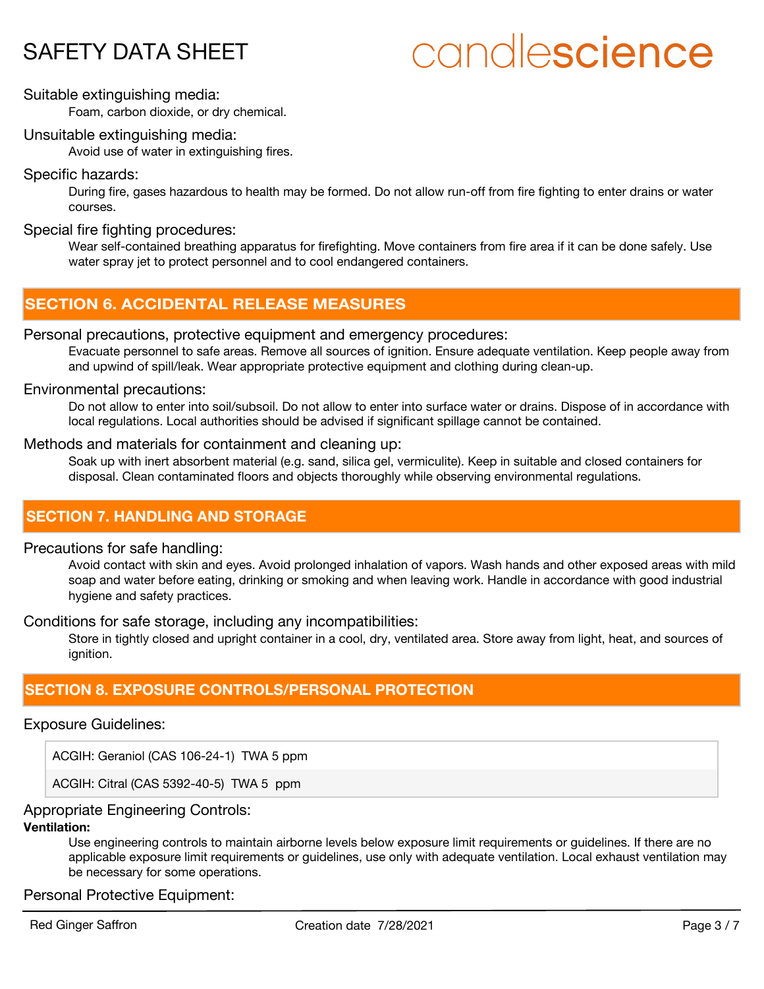# candlescience

# Suitable extinguishing media:

Foam, carbon dioxide, or dry chemical.

# Unsuitable extinguishing media:

Avoid use of water in extinguishing fires.

# Specific hazards:

During fire, gases hazardous to health may be formed. Do not allow run-off from fire fighting to enter drains or water courses.

# Special fire fighting procedures:

Wear self-contained breathing apparatus for firefighting. Move containers from fire area if it can be done safely. Use water spray jet to protect personnel and to cool endangered containers.

# **SECTION 6. ACCIDENTAL RELEASE MEASURES**

# Personal precautions, protective equipment and emergency procedures:

Evacuate personnel to safe areas. Remove all sources of ignition. Ensure adequate ventilation. Keep people away from and upwind of spill/leak. Wear appropriate protective equipment and clothing during clean-up.

# Environmental precautions:

Do not allow to enter into soil/subsoil. Do not allow to enter into surface water or drains. Dispose of in accordance with local regulations. Local authorities should be advised if significant spillage cannot be contained.

# Methods and materials for containment and cleaning up:

Soak up with inert absorbent material (e.g. sand, silica gel, vermiculite). Keep in suitable and closed containers for disposal. Clean contaminated floors and objects thoroughly while observing environmental regulations.

# **SECTION 7. HANDLING AND STORAGE**

# Precautions for safe handling:

Avoid contact with skin and eyes. Avoid prolonged inhalation of vapors. Wash hands and other exposed areas with mild soap and water before eating, drinking or smoking and when leaving work. Handle in accordance with good industrial hygiene and safety practices.

Conditions for safe storage, including any incompatibilities:

Store in tightly closed and upright container in a cool, dry, ventilated area. Store away from light, heat, and sources of ignition.

# **SECTION 8. EXPOSURE CONTROLS/PERSONAL PROTECTION**

# Exposure Guidelines:

ACGIH: Geraniol (CAS 106-24-1) TWA 5 ppm

ACGIH: Citral (CAS 5392-40-5) TWA 5 ppm

# Appropriate Engineering Controls:

# **Ventilation:**

Use engineering controls to maintain airborne levels below exposure limit requirements or guidelines. If there are no applicable exposure limit requirements or guidelines, use only with adequate ventilation. Local exhaust ventilation may be necessary for some operations.

Personal Protective Equipment: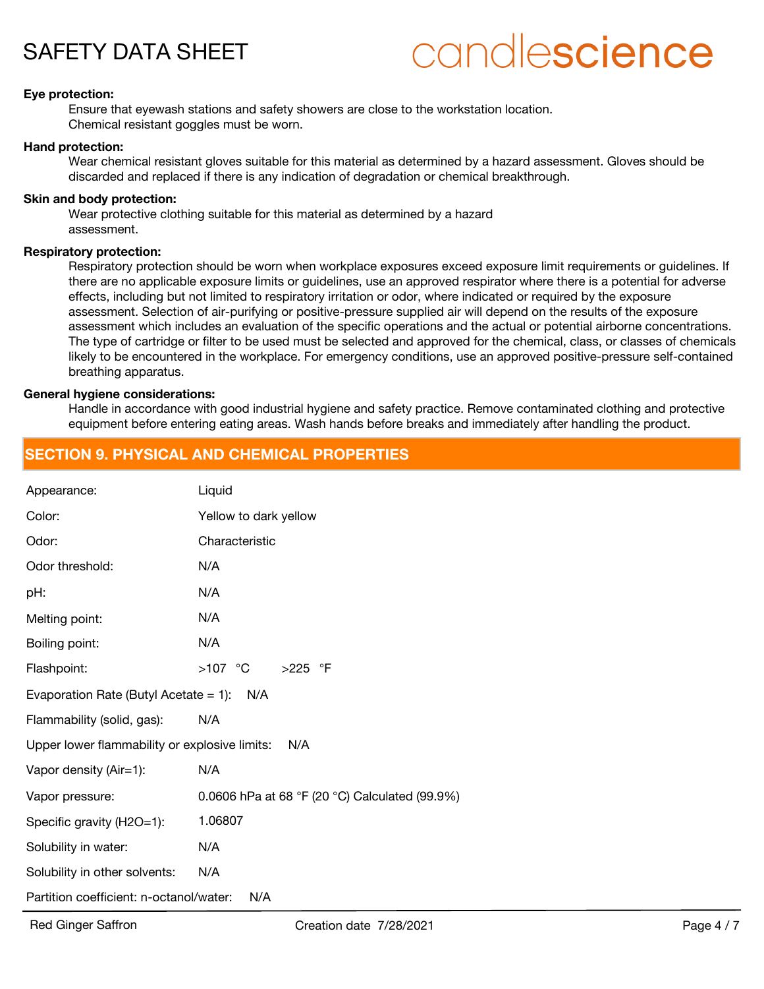

# candlescience

## **Eye protection:**

Ensure that eyewash stations and safety showers are close to the workstation location. Chemical resistant goggles must be worn.

#### **Hand protection:**

Wear chemical resistant gloves suitable for this material as determined by a hazard assessment. Gloves should be discarded and replaced if there is any indication of degradation or chemical breakthrough.

### **Skin and body protection:**

Wear protective clothing suitable for this material as determined by a hazard assessment.

### **Respiratory protection:**

Respiratory protection should be worn when workplace exposures exceed exposure limit requirements or guidelines. If there are no applicable exposure limits or guidelines, use an approved respirator where there is a potential for adverse effects, including but not limited to respiratory irritation or odor, where indicated or required by the exposure assessment. Selection of air-purifying or positive-pressure supplied air will depend on the results of the exposure assessment which includes an evaluation of the specific operations and the actual or potential airborne concentrations. The type of cartridge or filter to be used must be selected and approved for the chemical, class, or classes of chemicals likely to be encountered in the workplace. For emergency conditions, use an approved positive-pressure self-contained breathing apparatus.

### **General hygiene considerations:**

Handle in accordance with good industrial hygiene and safety practice. Remove contaminated clothing and protective equipment before entering eating areas. Wash hands before breaks and immediately after handling the product.

# **SECTION 9. PHYSICAL AND CHEMICAL PROPERTIES**

| Appearance:                                          | Liquid                                         |  |  |
|------------------------------------------------------|------------------------------------------------|--|--|
| Color:                                               | Yellow to dark yellow                          |  |  |
| Odor:                                                | Characteristic                                 |  |  |
| Odor threshold:                                      | N/A                                            |  |  |
| pH:                                                  | N/A                                            |  |  |
| Melting point:                                       | N/A                                            |  |  |
| Boiling point:                                       | N/A                                            |  |  |
| Flashpoint:                                          | $>107$ °C<br>$>225$ °F                         |  |  |
| Evaporation Rate (Butyl Acetate = 1): $N/A$          |                                                |  |  |
| Flammability (solid, gas):                           | N/A                                            |  |  |
| Upper lower flammability or explosive limits:<br>N/A |                                                |  |  |
| Vapor density (Air=1):                               | N/A                                            |  |  |
| Vapor pressure:                                      | 0.0606 hPa at 68 °F (20 °C) Calculated (99.9%) |  |  |
| Specific gravity (H2O=1):                            | 1.06807                                        |  |  |
| Solubility in water:                                 | N/A                                            |  |  |
| Solubility in other solvents:                        | N/A                                            |  |  |
| Partition coefficient: n-octanol/water:<br>N/A       |                                                |  |  |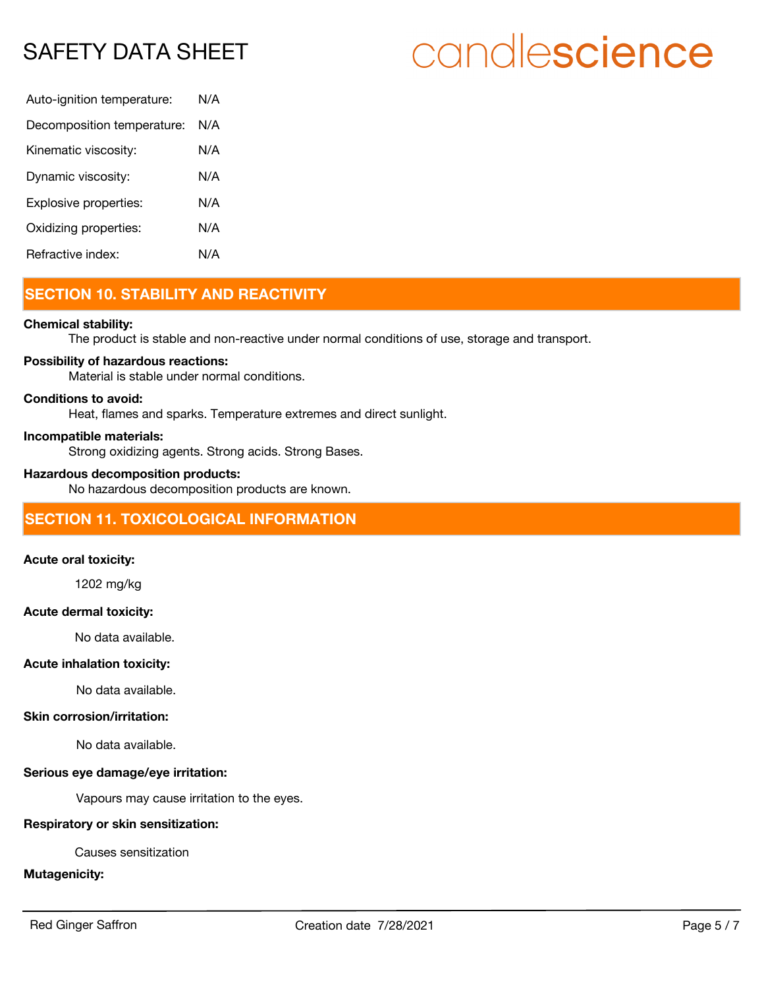# candlescience

| N/A |
|-----|
| N/A |
| N/A |
| N/A |
| N/A |
| N/A |
| N/A |
|     |

# **SECTION 10. STABILITY AND REACTIVITY**

## **Chemical stability:**

The product is stable and non-reactive under normal conditions of use, storage and transport.

## **Possibility of hazardous reactions:**

Material is stable under normal conditions.

## **Conditions to avoid:**

Heat, flames and sparks. Temperature extremes and direct sunlight.

### **Incompatible materials:**

Strong oxidizing agents. Strong acids. Strong Bases.

### **Hazardous decomposition products:**

No hazardous decomposition products are known.

# **SECTION 11. TOXICOLOGICAL INFORMATION**

## **Acute oral toxicity:**

1202 mg/kg

## **Acute dermal toxicity:**

No data available.

## **Acute inhalation toxicity:**

No data available.

# **Skin corrosion/irritation:**

No data available.

## **Serious eye damage/eye irritation:**

Vapours may cause irritation to the eyes.

# **Respiratory or skin sensitization:**

Causes sensitization

## **Mutagenicity:**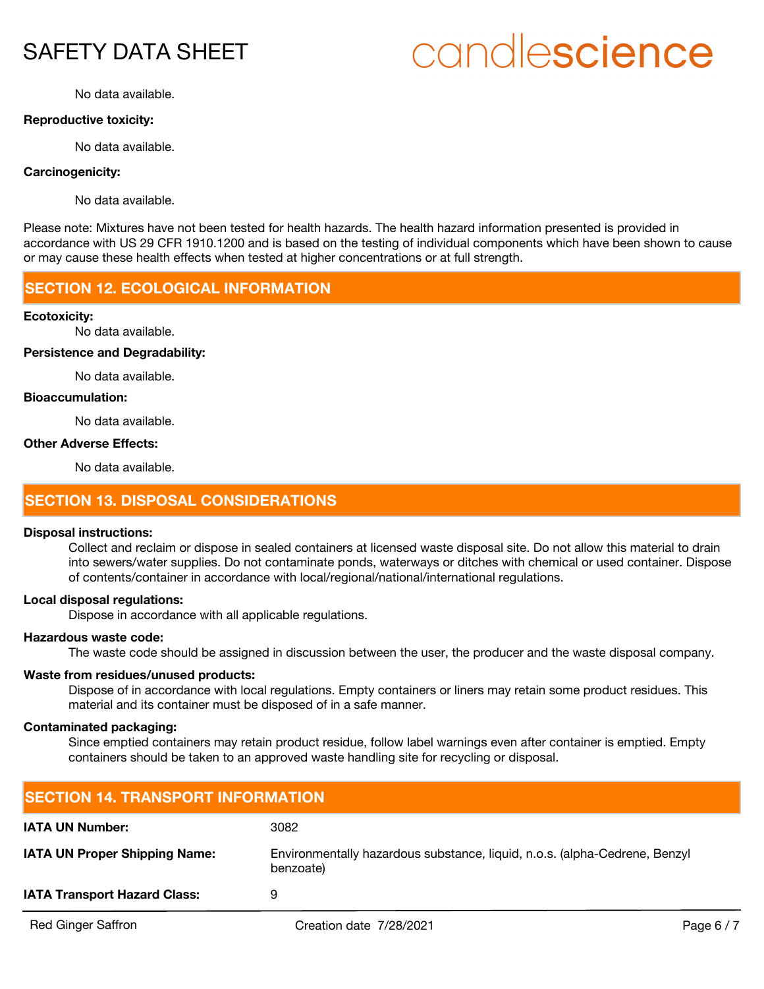# candlescience

No data available.

## **Reproductive toxicity:**

No data available.

## **Carcinogenicity:**

No data available.

Please note: Mixtures have not been tested for health hazards. The health hazard information presented is provided in accordance with US 29 CFR 1910.1200 and is based on the testing of individual components which have been shown to cause or may cause these health effects when tested at higher concentrations or at full strength.

# **SECTION 12. ECOLOGICAL INFORMATION**

### **Ecotoxicity:**

No data available.

#### **Persistence and Degradability:**

No data available.

### **Bioaccumulation:**

No data available.

### **Other Adverse Effects:**

No data available.

# **SECTION 13. DISPOSAL CONSIDERATIONS**

### **Disposal instructions:**

Collect and reclaim or dispose in sealed containers at licensed waste disposal site. Do not allow this material to drain into sewers/water supplies. Do not contaminate ponds, waterways or ditches with chemical or used container. Dispose of contents/container in accordance with local/regional/national/international regulations.

#### **Local disposal regulations:**

Dispose in accordance with all applicable regulations.

# **Hazardous waste code:**

The waste code should be assigned in discussion between the user, the producer and the waste disposal company.

## **Waste from residues/unused products:**

Dispose of in accordance with local regulations. Empty containers or liners may retain some product residues. This material and its container must be disposed of in a safe manner.

# **Contaminated packaging:**

Since emptied containers may retain product residue, follow label warnings even after container is emptied. Empty containers should be taken to an approved waste handling site for recycling or disposal.

| <b>SECTION 14. TRANSPORT INFORMATION</b> |                                                                                         |            |  |
|------------------------------------------|-----------------------------------------------------------------------------------------|------------|--|
| <b>IATA UN Number:</b>                   | 3082                                                                                    |            |  |
| <b>IATA UN Proper Shipping Name:</b>     | Environmentally hazardous substance, liquid, n.o.s. (alpha-Cedrene, Benzyl<br>benzoate) |            |  |
| <b>IATA Transport Hazard Class:</b>      | 9                                                                                       |            |  |
| <b>Red Ginger Saffron</b>                | Creation date 7/28/2021                                                                 | Page $6/7$ |  |